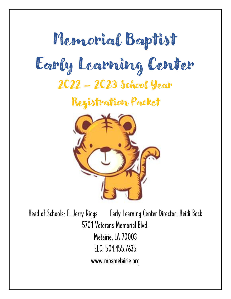# Memorial Baptist Early Learning Center 2022 – 2023 School Year

Registration Packet



Head of Schools: E. Jerry Riggs Early Learning Center Director: Heidi Bock 5701 Veterans Memorial Blvd. Metairie, LA 70003 ELC: 504.455.7635 [www.mbsmetairie.org](http://www.mbsmetairie.org/)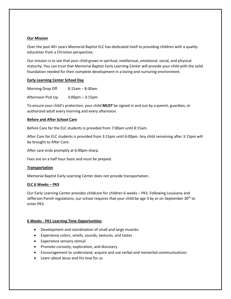#### **Our Mission**

Over the past 40+ years Memorial Baptist ELC has dedicated itself to providing children with a quality education from a Christian perspective.

Our mission is to see that your child grows in spiritual, intellectual, emotional, social, and physical maturity. You can trust that Memorial Baptist Early Learning Center will provide your child with the solid foundation needed for their complete development in a loving and nurturing environment.

#### **Early Learning Center School Day**

| Morning Drop Off  | $8:15$ am – $8:30$ am             |
|-------------------|-----------------------------------|
| Afternoon Pick Up | $3:00 \text{pm} - 3:15 \text{pm}$ |

To ensure your child's protection, your child **MUST** be signed in and out by a parent, guardian, or authorized adult every morning and every afternoon.

## **Before and After School Care**

Before Care for the ELC students is provided from 7:00am until 8:15am.

After Care for ELC students is provided from 3:15pm until 6:00pm. Any child remaining after 3:15pm will be brought to After Care.

After care ends promptly at 6:00pm sharp.

Fees are on a half hour basis and must be prepaid.

# **Transportation**

Memorial Baptist Early Learning Center does not provide transportation.

#### **ELC 6 Weeks – PK3**

Our Early Learning Center provides childcare for children 6 weeks – PK3. Following Louisiana and Jefferson Parish regulations, our school requires that your child be age 3 by or on September 30<sup>th</sup> to enter PK3.

# **6 Weeks - PK1 Learning Time Opportunities**

- Development and coordination of small and large muscles
- Experience colors, smells, sounds, textures, and tastes
- Experience sensory stimuli
- Promote curiosity, exploration, and discovery
- Encouragement to understand, acquire and use verbal and nonverbal communications
- Learn about Jesus and His love for us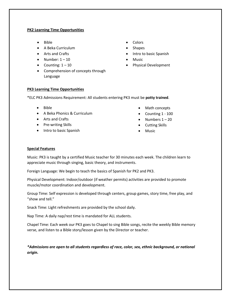#### **PK2 Learning Time Opportunities**

- Bible
- A Beka Curriculum
- Arts and Crafts
- Number:  $1 10$
- Counting:  $1 10$
- Comprehension of concepts through Language

#### **PK3 Learning Time Opportunities**

\*ELC PK3 Admissions Requirement: All students entering PK3 must be **potty trained**.

- Bible
- A Beka Phonics & Curriculum
- Arts and Crafts
- Pre-writing Skills
- Intro to basic Spanish
- Colors
- Shapes
- Intro to basic Spanish
- Music
- Physical Development

- Math concepts
- Counting 1 100
- Numbers  $1 20$
- Cutting Skills
- Music

## **Special Features**

Music: PK3 is taught by a certified Music teacher for 30 minutes each week. The children learn to appreciate music through singing, basic theory, and instruments.

Foreign Language: We begin to teach the basics of Spanish for PK2 and PK3.

Physical Development: Indoor/outdoor (if weather permits) activities are provided to promote muscle/motor coordination and development.

Group Time: Self expression is developed through centers, group games, story time, free play, and "show and tell."

Snack Time: Light refreshments are provided by the school daily.

Nap Time: A daily nap/rest time is mandated for ALL students.

Chapel Time: Each week our PK3 goes to Chapel to sing Bible songs, recite the weekly Bible memory verse, and listen to a Bible story/lesson given by the Director or teacher.

*\*Admissions are open to all students regardless of race, color, sex, ethnic background, or national origin.*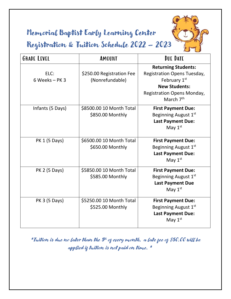Memorial Baptist Early Learning Center Registration & Tuition Schedule 2022 – 2023



| <b>GRADE LEVEL</b>       | AMOUNT                                       | DUE DATE                                                                                                                                                        |
|--------------------------|----------------------------------------------|-----------------------------------------------------------------------------------------------------------------------------------------------------------------|
| ELC:<br>$6$ Weeks - PK 3 | \$250.00 Registration Fee<br>(Nonrefundable) | <b>Returning Students:</b><br>Registration Opens Tuesday,<br>February 1st<br><b>New Students:</b><br><b>Registration Opens Monday,</b><br>March 7 <sup>th</sup> |
| Infants (5 Days)         | \$8500.00 10 Month Total<br>\$850.00 Monthly | <b>First Payment Due:</b><br>Beginning August 1st<br><b>Last Payment Due:</b><br>May $1st$                                                                      |
| PK 1 (5 Days)            | \$6500.00 10 Month Total<br>\$650.00 Monthly | <b>First Payment Due:</b><br>Beginning August 1st<br><b>Last Payment Due:</b><br>May $1st$                                                                      |
| PK 2 (5 Days)            | \$5850.00 10 Month Total<br>\$585.00 Monthly | <b>First Payment Due:</b><br>Beginning August 1st<br><b>Last Payment Due</b><br>May $1st$                                                                       |
| PK 3 (5 Days)            | \$5250.00 10 Month Total<br>\$525.00 Monthly | <b>First Payment Due:</b><br>Beginning August 1st<br><b>Last Payment Due:</b><br>May $1st$                                                                      |

\*Tuition is due no later than the 5\* of every month, a late fee of \$50.00 will be applied if tuition is not paid on time. \*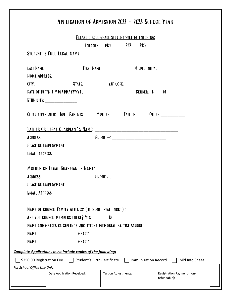|                                   | PLEASE CIRCLE GRADE STUDENT WILL BE ENTERING:                                     |                            |                  |
|-----------------------------------|-----------------------------------------------------------------------------------|----------------------------|------------------|
|                                   | INFANTS PK1 PK2 PK3                                                               |                            |                  |
| <b>STUDENT'S FULL LEGAL NAME:</b> |                                                                                   |                            |                  |
| LAST NAME                         | <b>FIRST NAME</b>                                                                 | <b>MIDDLE INITIAL</b>      |                  |
|                                   |                                                                                   |                            |                  |
|                                   |                                                                                   |                            |                  |
|                                   |                                                                                   |                            |                  |
| ETHNICITY: __________________     |                                                                                   |                            |                  |
|                                   | CHILD LIVES WITH: BOTH PARENTS MOTHER FATHER OTHER CHILD LIVES WITH: BOTH PARENTS |                            |                  |
|                                   | <b>FATHER OR LEGAL GUARDIAN'S NAME:</b>                                           |                            |                  |
|                                   |                                                                                   |                            |                  |
|                                   |                                                                                   |                            |                  |
|                                   |                                                                                   |                            |                  |
|                                   |                                                                                   |                            |                  |
|                                   |                                                                                   |                            |                  |
|                                   |                                                                                   |                            |                  |
| PLACE OF EMPLOYMENT:              |                                                                                   |                            |                  |
|                                   | <b>EMAIL ADDRESS: EMAIL ADDRESS:</b>                                              |                            |                  |
|                                   |                                                                                   |                            |                  |
|                                   | NAME OF CHURCH FAMILY ATTENDS: ( IF NONE, STATE NONE) : _________________________ |                            |                  |
|                                   | ARE YOU CHURCH MEMBERS THERE? YES _______ NO                                      |                            |                  |
|                                   | NAME AND GRADES OF SIBLINGS WHO ATTEND MEMORIAL BAPTIST SCHOOL:                   |                            |                  |
|                                   |                                                                                   |                            |                  |
|                                   |                                                                                   |                            |                  |
|                                   | <b>Complete Applications must include copies of the following:</b>                |                            |                  |
| \$250.00 Registration Fee         | Student's Birth Certificate                                                       | <b>Immunization Record</b> | Child Info Sheet |
|                                   |                                                                                   |                            |                  |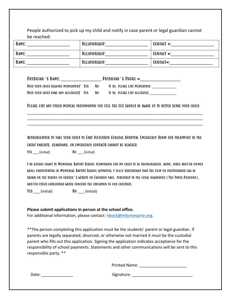People authorized to pick up my child and notify in case parent or legal guardian cannot be reached:

| NAME: | RELATIONSHIP:        | <b>CONTACT <math>\#</math>:</b> |
|-------|----------------------|---------------------------------|
| NAME: | RELATIONSHIP:        | CONTACT #:                      |
| NAME: | <b>RELATIONSHIP:</b> | CONTACT <sup>#</sup> :          |

| PHYSICIAN'S NAME:                       |    | PHYSICIAN'S PHONE #            |
|-----------------------------------------|----|--------------------------------|
| DOES YOUR CHILD REQUIRE MEDICATION? YES | NO | IF SO, PLEASE LIST MEDICATION: |
| DOES YOUR CHILD HAVE ANY ALLERGIES? YES | N0 | IF SO, PLEASE LIST ALLERGIES:  |

Please list any other medical information you feel the ELC should be aware of to better serve your child:

\_\_\_\_\_\_\_\_\_\_\_\_\_\_\_\_\_\_\_\_\_\_\_\_\_\_\_\_\_\_\_\_\_\_\_\_\_\_\_\_\_\_\_\_\_\_\_\_\_\_\_\_\_\_\_\_\_\_\_\_\_\_\_\_\_\_\_\_\_\_\_\_\_\_\_\_\_\_\_\_\_\_\_\_\_ \_\_\_\_\_\_\_\_\_\_\_\_\_\_\_\_\_\_\_\_\_\_\_\_\_\_\_\_\_\_\_\_\_\_\_\_\_\_\_\_\_\_\_\_\_\_\_\_\_\_\_\_\_\_\_\_\_\_\_\_\_\_\_\_\_\_\_\_\_\_\_\_\_\_\_\_\_\_\_\_\_\_\_\_\_ \_\_\_\_\_\_\_\_\_\_\_\_\_\_\_\_\_\_\_\_\_\_\_\_\_\_\_\_\_\_\_\_\_\_\_\_\_\_\_\_\_\_\_\_\_\_\_\_\_\_\_\_\_\_\_\_\_\_\_\_\_\_\_\_\_\_\_\_\_\_\_\_\_\_\_\_\_\_\_\_\_\_\_\_\_

Authorization to take your child to East Jefferson General Hospital Emergency Room for treatment in the event parents, guardians, or emergency contacts cannot be reached:

YES (initial) NO (initial)

I do hereby grant to Memorial Baptist School permission for my child to be photographed, audio, video and/or filmed while participating in Memorial Baptist School activities. I fully understand that the film or photographs can be shown on the school or church's website or Facebook page, published in the local newspaper (The Times Picayune), and/or other gatherings which concern the education of our children.

YES (initial) NO (initial)

# **Please submit applications in person at the school office.**

For additional information, please contact: [hbock@mbsmetairie.org.](mailto:hbock@mbsmetairie.org)

\*\*The person completing this application must be the students' parent or legal guardian. If parents are legally separated, divorced, or otherwise not married it must be the custodial parent who fills out this application. Signing the application indicates acceptance for the responsibility of school payments. Statements and other communications will be sent to this responsible party. \*\*

Printed Name: \_\_\_\_\_\_\_\_\_\_\_\_\_\_\_\_\_\_\_\_\_

Date: \_\_\_\_\_\_\_\_\_\_\_\_\_\_ Signature: \_\_\_\_\_\_\_\_\_\_\_\_\_\_\_\_\_\_\_\_\_\_\_\_\_\_\_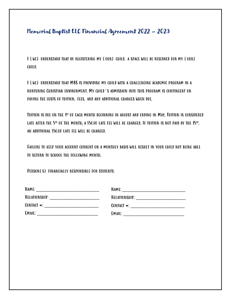# Memorial Baptist ELC Financial Agreement 2022 – 2023

I (we) understand that by registering my (our) child, a space will be reserved for my (our) child.

I (we) understand that MBS is providing my child with a challenging academic program in a nurturing Christian environment. My child's admission into this program is contingent on paying the costs of tuition, fees, and any additional charges when due.

Tuition is due on the 1st of each month beginning in august and ending in May. Tuition is considered LATE AFTER THE  $5^\text{n}$  OF THE MONTH; A \$50.00 LATE FEE WILL BE CHARGED. IF TUITION IS NOT PAID BY THE  $45^\text{n}$ , an additional \$50.00 late fee will be charged.

Failure to keep your account current on a monthly basis will result in your child not being able to return to school the following month.

Person(s) financially responsible for students:

| NAME:               | NAME:            |
|---------------------|------------------|
| RELATIONSHIP:       | RELATIONSHIP:    |
| CONTACT <b>**</b> : | CONTACT $\ast$ : |
| EMAIL:              | EMAIL:           |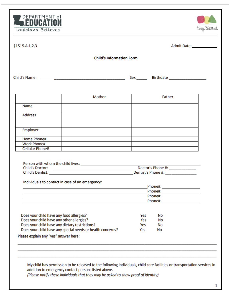



|                                                            | <b>Child's Information Form</b>                 |     |                                            |  |
|------------------------------------------------------------|-------------------------------------------------|-----|--------------------------------------------|--|
|                                                            |                                                 |     | Sex _______ Birthdate ____________________ |  |
|                                                            |                                                 |     |                                            |  |
|                                                            | Mother                                          |     | Father                                     |  |
| Name                                                       |                                                 |     |                                            |  |
| <b>Address</b>                                             |                                                 |     |                                            |  |
| Employer                                                   |                                                 |     |                                            |  |
| <b>Home Phone#</b>                                         |                                                 |     |                                            |  |
| <b>Work Phone#</b>                                         |                                                 |     |                                            |  |
| <b>Cellular Phone#</b>                                     |                                                 |     |                                            |  |
|                                                            |                                                 |     |                                            |  |
|                                                            |                                                 |     |                                            |  |
|                                                            | Individuals to contact in case of an emergency: |     | Phone#: _______________________            |  |
|                                                            |                                                 |     |                                            |  |
|                                                            |                                                 |     | Phone#: ______________________             |  |
|                                                            |                                                 |     |                                            |  |
|                                                            |                                                 |     |                                            |  |
| Does your child have any food allergies?                   |                                                 | Yes | No                                         |  |
| Does your child have any other allergies?                  |                                                 | Yes | No                                         |  |
| Does your child have any dietary restrictions?             |                                                 | Yes | No                                         |  |
| Does your child have any special needs or health concerns? |                                                 | Yes | No                                         |  |
| Please explain any "yes" answer here:                      |                                                 |     |                                            |  |
|                                                            |                                                 |     |                                            |  |
|                                                            |                                                 |     |                                            |  |

addition to emergency contact persons listed above.

(Please notify these individuals that they may be asked to show proof of identity)